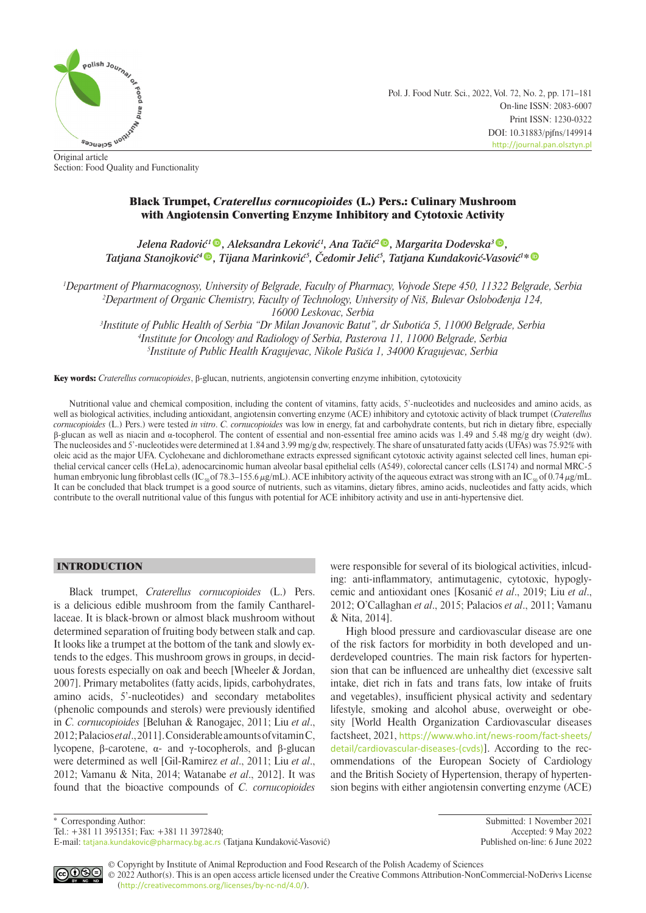

Pol. J. Food Nutr. Sci., 2022, Vol. 72, No. 2, pp. 171–181 On-line ISSN: 2083-6007 Print ISSN: 1230-0322 DOI: 10.31883/pjfns/149914 <http://journal.pan.olsztyn.pl>

Original article Section: Food Quality and Functionality

# Black Trumpet, *Craterellus cornucopioides* (L.) Pers.: Culinary Mushroom with Angiotensin Converting Enzyme Inhibitory and Cytotoxic Activity

*Jelena Radović <sup>1</sup> [,](https://orcid.org/0000-0001-7324-1647) Aleksandra Leković <sup>1</sup> , Ana Tačić<sup>2</sup> [,](https://orcid.org/0000-0003-3119-033X) Margarita Dodevska3 [,](https://orcid.org/0000-0001-6030-459X) Tatjana Stanojković <sup>4</sup> [,](https://orcid.org/0000-0001-9178-9200) Tijana Marinković <sup>5</sup> , Čedomir Jelić <sup>5</sup> , Tatjana Kundaković-Vasović<sup>1</sup> \**

*1 Department of Pharmacognosy, University of Belgrade, Faculty of Pharmacy, Vojvode Stepe 450, 11322 Belgrade, Serbia 2 Department of Organic Chemistry, Faculty of Technology, University of Niš, Bulevar Oslobođenja 124,* 

*16000 Leskovac, Serbia*

*3 Institute of Public Health of Serbia "Dr Milan Jovanovic Batut", dr Subotića 5, 11000 Belgrade, Serbia 4 Institute for Oncology and Radiology of Serbia, Pasterova 11, 11000 Belgrade, Serbia 5 Institute of Public Health Kragujevac, Nikole Pašića 1, 34000 Kragujevac, Serbia*

Key words: *Craterellus cornucopioides*, β-glucan, nutrients, angiotensin converting enzyme inhibition, cytotoxicity

Nutritional value and chemical composition, including the content of vitamins, fatty acids, 5'-nucleotides and nucleosides and amino acids, as well as biological activities, including antioxidant, angiotensin converting enzyme (ACE) inhibitory and cytotoxic activity of black trumpet (*Craterellus cornucopioides* (L.) Pers.) were tested *in vitro*. *C. cornucopioides* was low in energy, fat and carbohydrate contents, but rich in dietary fibre, especially β-glucan as well as niacin and α-tocopherol. The content of essential and non-essential free amino acids was 1.49 and 5.48 mg/g dry weight (dw). The nucleosides and 5'-nucleotides were determined at 1.84 and 3.99 mg/g dw, respectively. The share of unsaturated fatty acids (UFAs) was 75.92% with oleic acid as the major UFA. Cyclohexane and dichloromethane extracts expressed significant cytotoxic activity against selected cell lines, human epithelial cervical cancer cells (HeLa), adenocarcinomic human alveolar basal epithelial cells (A549), colorectal cancer cells (LS174) and normal MRC-5 human embryonic lung fibroblast cells (IC<sub>50</sub> of 78.3–155.6  $\mu$ g/mL). ACE inhibitory activity of the aqueous extract was strong with an IC<sub>50</sub> of 0.74  $\mu$ g/mL. It can be concluded that black trumpet is a good source of nutrients, such as vitamins, dietary fibres, amino acids, nucleotides and fatty acids, which contribute to the overall nutritional value of this fungus with potential for ACE inhibitory activity and use in anti-hypertensive diet.

# INTRODUCTION

Black trumpet, *Craterellus cornucopioides* (L.) Pers. is a delicious edible mushroom from the family Cantharellaceae. It is black-brown or almost black mushroom without determined separation of fruiting body between stalk and cap. It looks like a trumpet at the bottom of the tank and slowly extends to the edges. This mushroom grows in groups, in deciduous forests especially on oak and beech [Wheeler & Jordan, 2007]. Primary metabolites (fatty acids, lipids, carbohydrates, amino acids, 5'-nucleotides) and secondary metabolites (phenolic compounds and sterols) were previously identified in *C. cornucopioides* [Beluhan & Ranogajec, 2011; Liu *et al*., 2012; Palacios *et al*., 2011]. Considerable amounts of vitamin C, lycopene, β-carotene, α- and γ-tocopherols, and β-glucan were determined as well [Gil-Ramirez *et al*., 2011; Liu *et al*., 2012; Vamanu & Nita, 2014; Watanabe *et al*., 2012]. It was found that the bioactive compounds of *C. cornucopioides* were responsible for several of its biological activities, inlcuding: anti-inflammatory, antimutagenic, cytotoxic, hypoglycemic and antioxidant ones [Kosanić *et al*., 2019; Liu *et al*., 2012; O'Callaghan *et al*., 2015; Palacios *et al*., 2011; Vamanu & Nita, 2014].

High blood pressure and cardiovascular disease are one of the risk factors for morbidity in both developed and underdeveloped countries. The main risk factors for hypertension that can be influenced are unhealthy diet (excessive salt intake, diet rich in fats and trans fats, low intake of fruits and vegetables), insufficient physical activity and sedentary lifestyle, smoking and alcohol abuse, overweight or obesity [World Health Organization Cardiovascular diseases factsheet, 2021, [https://www.who.int/news-room/fact-sheets/](https://www.who.int/news-room/fact-sheets/detail/cardiovascular-diseases-(cvds)) [detail/cardiovascular-diseases-\(cvds\)](https://www.who.int/news-room/fact-sheets/detail/cardiovascular-diseases-(cvds))]. According to the recommendations of the European Society of Cardiology and the British Society of Hypertension, therapy of hypertension begins with either angiotensin converting enzyme (ACE)

Tel.: +381 11 3951351; Fax: +381 11 3972840;

E-mail: [tatjana.kundakovic@pharmacy.bg.ac.rs](mailto:tatjana.kundakovic@pharmacy.bg.ac.rs) (Tatjana Kundaković-Vasović) Published on-line: 6 June 2022

\* Corresponding Author: Submitted: 1 November 2021

© Copyright by Institute of Animal Reproduction and Food Research of the Polish Academy of Sciences ெ © 2022 Author(s). This is an open access article licensed under the Creative Commons Attribution-NonCommercial-NoDerivs License ([http://creativecommons.org/licenses/by-nc-nd/4.0/](http://creativecommons.org/licenses/by-nc-nd/3.0/)).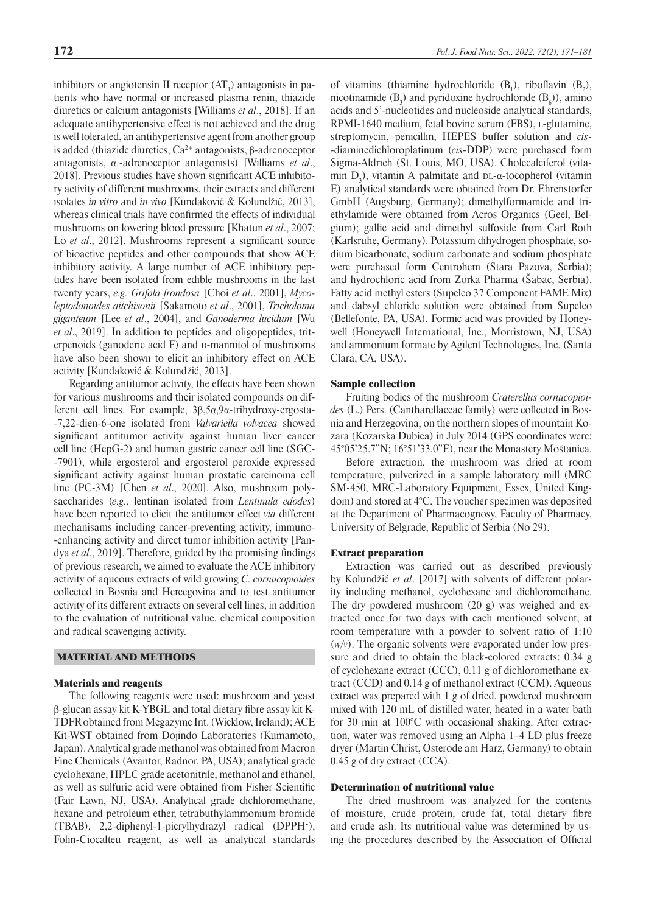inhibitors or angiotensin II receptor  $(AT_1)$  antagonists in patients who have normal or increased plasma renin, thiazide diuretics or calcium antagonists [Williams *et al*., 2018]. If an adequate antihypertensive effect is not achieved and the drug is well tolerated, an antihypertensive agent from another group is added (thiazide diuretics,  $Ca<sup>2+</sup>$  antagonists, β-adrenoceptor antagonists, α<sub>1</sub>-adrenoceptor antagonists) [Williams *et al.*, 2018]. Previous studies have shown significant ACE inhibitory activity of different mushrooms, their extracts and different isolates *in vitro* and *in vivo* [Kundaković & Kolundžić, 2013], whereas clinical trials have confirmed the effects of individual mushrooms on lowering blood pressure [Khatun *et al*., 2007; Lo *et al*., 2012]. Mushrooms represent a significant source of bioactive peptides and other compounds that show ACE inhibitory activity. A large number of ACE inhibitory peptides have been isolated from edible mushrooms in the last twenty years, *e.g. Grifola frondosa* [Choi *et al*., 2001], *Mycoleptodonoides aitchisonii* [Sakamoto *et al*., 2001], *Tricholoma giganteum* [Lee *et al*., 2004], and *Ganoderma lucidum* [Wu *et al*., 2019]. In addition to peptides and oligopeptides, triterpenoids (ganoderic acid  $F$ ) and  $D$ -mannitol of mushrooms have also been shown to elicit an inhibitory effect on ACE activity [Kundaković & Kolundžić, 2013].

Regarding antitumor activity, the effects have been shown for various mushrooms and their isolated compounds on different cell lines. For example, 3β,5α,9α-trihydroxy-ergosta- -7,22-dien-6-one isolated from *Valvariella volvacea* showed significant antitumor activity against human liver cancer cell line (HepG-2) and human gastric cancer cell line (SGC- -7901), while ergosterol and ergosterol peroxide expressed significant activity against human prostatic carcinoma cell line (PC-3M) [Chen *et al*., 2020]. Also, mushroom polysaccharides (*e.g.*, lentinan isolated from *Lentinula edodes*) have been reported to elicit the antitumor effect *via* different mechanisams including cancer-preventing activity, immuno- -enhancing activity and direct tumor inhibition activity [Pandya *et al*., 2019]. Therefore, guided by the promising findings of previous research, we aimed to evaluate the ACE inhibitory activity of aqueous extracts of wild growing *C. cornucopioides* collected in Bosnia and Hercegovina and to test antitumor activity of its different extracts on several cell lines, in addition to the evaluation of nutritional value, chemical composition and radical scavenging activity.

# MATERIAL AND METHODS

#### Materials and reagents

The following reagents were used: mushroom and yeast β-glucan assay kit K-YBGL and total dietary fibre assay kit K-TDFR obtained from Megazyme Int. (Wicklow, Ireland); ACE Kit-WST obtained from Dojindo Laboratories (Kumamoto, Japan). Analytical grade methanol was obtained from Macron Fine Chemicals (Avantor, Radnor, PA, USA); analytical grade cyclohexane, HPLC grade acetonitrile, methanol and ethanol, as well as sulfuric acid were obtained from Fisher Scientific (Fair Lawn, NJ, USA). Analytical grade dichloromethane, hexane and petroleum ether, tetrabuthylammonium bromide (TBAB), 2,2-diphenyl-1-picrylhydrazyl radical (DPPH•), Folin-Ciocalteu reagent, as well as analytical standards

of vitamins (thiamine hydrochloride  $(B_1)$ , riboflavin  $(B_2)$ , nicotinamide  $(B_3)$  and pyridoxine hydrochloride  $(B_6)$ ), amino acids and 5'-nucleotides and nucleoside analytical standards, RPMI-1640 medium, fetal bovine serum (FBS), L-glutamine, streptomycin, penicillin, HEPES buffer solution and *cis*- -diaminedichloroplatinum (*cis*-DDP) were purchased form Sigma-Aldrich (St. Louis, MO, USA). Cholecalciferol (vitamin  $D_3$ ), vitamin A palmitate and  $DL$ - $\alpha$ -tocopherol (vitamin E) analytical standards were obtained from Dr. Ehrenstorfer GmbH (Augsburg, Germany); dimethylformamide and triethylamide were obtained from Acros Organics (Geel, Belgium); gallic acid and dimethyl sulfoxide from Carl Roth (Karlsruhe, Germany). Potassium dihydrogen phosphate, sodium bicarbonate, sodium carbonate and sodium phosphate were purchased form Centrohem (Stara Pazova, Serbia); and hydrochloric acid from Zorka Pharma (Šabac, Serbia). Fatty acid methyl esters (Supelco 37 Component FAME Mix) and dabsyl chloride solution were obtained from Supelco (Bellefonte, PA, USA). Formic acid was provided by Honeywell (Honeywell International, Inc., Morristown, NJ, USA) and ammonium formate by Agilent Technologies, Inc. (Santa Clara, CA, USA).

### Sample collection

Fruiting bodies of the mushroom *Craterellus cornucopioides* (L.) Pers. (Cantharellaceae family) were collected in Bosnia and Herzegovina, on the northern slopes of mountain Kozara (Kozarska Dubica) in July 2014 (GPS coordinates were: 45°05'25.7"N; 16°51'33.0"E), near the Monastery Moštanica.

Before extraction, the mushroom was dried at room temperature, pulverized in a sample laboratory mill (MRC SM-450, MRC-Laboratory Equipment, Essex, United Kingdom) and stored at 4°C. The voucher specimen was deposited at the Department of Pharmacognosy, Faculty of Pharmacy, University of Belgrade, Republic of Serbia (No 29).

# Extract preparation

Extraction was carried out as described previously by Kolundžić *et al*. [2017] with solvents of different polarity including methanol, cyclohexane and dichloromethane. The dry powdered mushroom (20 g) was weighed and extracted once for two days with each mentioned solvent, at room temperature with a powder to solvent ratio of 1:10 (*w/v*). The organic solvents were evaporated under low pressure and dried to obtain the black-colored extracts: 0.34 g of cyclohexane extract (CCC), 0.11 g of dichloromethane extract (CCD) and 0.14 g of methanol extract (CCM). Aqueous extract was prepared with 1 g of dried, powdered mushroom mixed with 120 mL of distilled water, heated in a water bath for 30 min at 100°C with occasional shaking. After extraction, water was removed using an Alpha 1–4 LD plus freeze dryer (Martin Christ, Osterode am Harz, Germany) to obtain 0.45 g of dry extract (CCA).

#### Determination of nutritional value

The dried mushroom was analyzed for the contents of moisture, crude protein, crude fat, total dietary fibre and crude ash. Its nutritional value was determined by using the procedures described by the Association of Official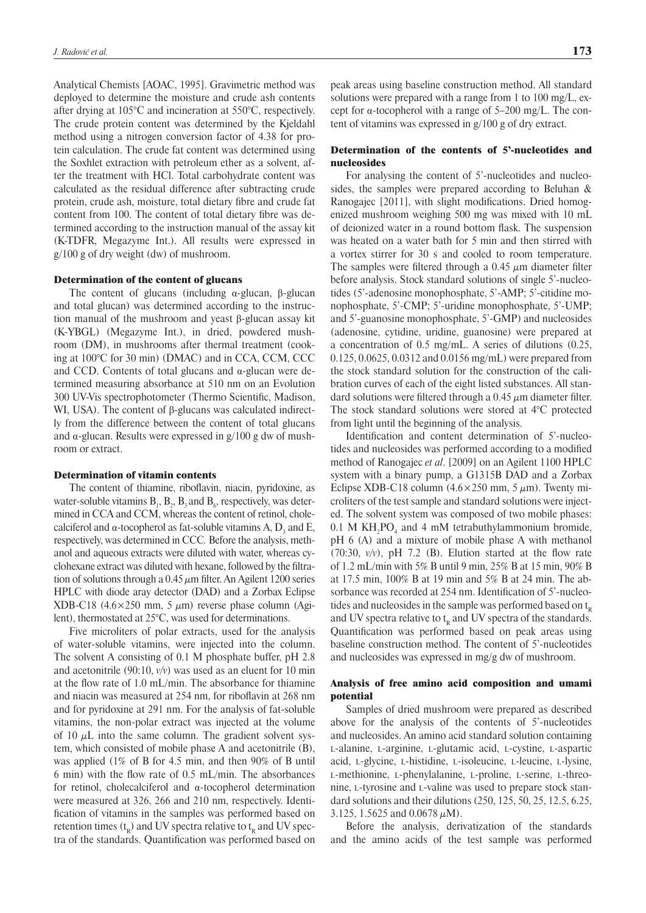Analytical Chemists [AOAC, 1995]. Gravimetric method was deployed to determine the moisture and crude ash contents after drying at 105°C and incineration at 550°C, respectively. The crude protein content was determined by the Kjeldahl method using a nitrogen conversion factor of 4.38 for protein calculation. The crude fat content was determined using the Soxhlet extraction with petroleum ether as a solvent, after the treatment with HCl. Total carbohydrate content was calculated as the residual difference after subtracting crude protein, crude ash, moisture, total dietary fibre and crude fat content from 100. The content of total dietary fibre was determined according to the instruction manual of the assay kit (K-TDFR, Megazyme Int.). All results were expressed in g/100 g of dry weight (dw) of mushroom.

### Determination of the content of glucans

The content of glucans (including  $α$ -glucan, β-glucan and total glucan) was determined according to the instruction manual of the mushroom and yeast β-glucan assay kit (K-YBGL) (Megazyme Int.), in dried, powdered mushroom (DM), in mushrooms after thermal treatment (cooking at 100°C for 30 min) (DMAC) and in CCA, CCM, CCC and CCD. Contents of total glucans and  $α$ -glucan were determined measuring absorbance at 510 nm on an Evolution 300 UV-Vis spectrophotometer (Thermo Scientific, Madison, WI, USA). The content of β-glucans was calculated indirectly from the difference between the content of total glucans and  $\alpha$ -glucan. Results were expressed in g/100 g dw of mushroom or extract.

#### Determination of vitamin contents

The content of thiamine, riboflavin, niacin, pyridoxine, as water-soluble vitamins  $B_1$ ,  $B_2$ ,  $B_3$  and  $B_6$ , respectively, was determined in CCA and CCM, whereas the content of retinol, cholecalciferol and  $\alpha$ -tocopherol as fat-soluble vitamins A,  $D_3$  and E, respectively, was determined in CCC*.* Before the analysis, methanol and aqueous extracts were diluted with water, whereas cyclohexane extract was diluted with hexane, followed by the filtration of solutions through a 0.45  $\mu$ m filter. An Agilent 1200 series HPLC with diode aray detector (DAD) and a Zorbax Eclipse XDB-C18 (4.6 $\times$ 250 mm, 5  $\mu$ m) reverse phase column (Agilent), thermostated at 25°C, was used for determinations.

Five microliters of polar extracts, used for the analysis of water-soluble vitamins, were injected into the column. The solvent A consisting of 0.1 M phosphate buffer, pH 2.8 and acetonitrile (90:10, *v/v*) was used as an eluent for 10 min at the flow rate of 1.0 mL/min. The absorbance for thiamine and niacin was measured at 254 nm, for riboflavin at 268 nm and for pyridoxine at 291 nm. For the analysis of fat-soluble vitamins, the non-polar extract was injected at the volume of 10  $\mu$ L into the same column. The gradient solvent system, which consisted of mobile phase A and acetonitrile (B), was applied (1% of B for 4.5 min, and then 90% of B until 6 min) with the flow rate of 0.5 mL/min. The absorbances for retinol, cholecalciferol and α-tocopherol determination were measured at 326, 266 and 210 nm, respectively. Identification of vitamins in the samples was performed based on retention times  $(t_R)$  and UV spectra relative to  $t_R$  and UV spectra of the standards. Quantification was performed based on

peak areas using baseline construction method. All standard solutions were prepared with a range from 1 to 100 mg/L, except for α-tocopherol with a range of  $5-200$  mg/L. The content of vitamins was expressed in g/100 g of dry extract.

# Determination of the contents of 5'-nucleotides and nucleosides

For analysing the content of 5'-nucleotides and nucleosides, the samples were prepared according to Beluhan & Ranogajec [2011], with slight modifications. Dried homogenized mushroom weighing 500 mg was mixed with 10 mL of deionized water in a round bottom flask. The suspension was heated on a water bath for 5 min and then stirred with a vortex stirrer for 30 s and cooled to room temperature. The samples were filtered through a 0.45  $\mu$ m diameter filter before analysis. Stock standard solutions of single 5'-nucleotides (5'-adenosine monophosphate, 5'-AMP; 5'-citidine monophosphate, 5'-CMP; 5'-uridine monophosphate, 5'-UMP; and 5'-guanosine monophosphate, 5'-GMP) and nucleosides (adenosine, cytidine, uridine, guanosine) were prepared at a concentration of 0.5 mg/mL. A series of dilutions (0.25, 0.125, 0.0625, 0.0312 and 0.0156 mg/mL) were prepared from the stock standard solution for the construction of the calibration curves of each of the eight listed substances. All standard solutions were filtered through a  $0.45 \mu$ m diameter filter. The stock standard solutions were stored at 4°C protected from light until the beginning of the analysis.

Identification and content determination of 5'-nucleotides and nucleosides was performed according to a modified method of Ranogajec *et al*. [2009] on an Agilent 1100 HPLC system with a binary pump, a G1315B DAD and a Zorbax Eclipse XDB-C18 column  $(4.6 \times 250 \text{ mm}, 5 \mu \text{m})$ . Twenty microliters of the test sample and standard solutions were injected. The solvent system was composed of two mobile phases:  $0.1$  M KH<sub>2</sub>PO<sub>4</sub> and 4 mM tetrabuthylammonium bromide, pH 6 (A) and a mixture of mobile phase A with methanol  $(70:30, v/v)$ , pH 7.2 (B). Elution started at the flow rate of 1.2 mL/min with 5% B until 9 min, 25% B at 15 min, 90% B at 17.5 min, 100% B at 19 min and 5% B at 24 min. The absorbance was recorded at 254 nm. Identification of 5'-nucleotides and nucleosides in the sample was performed based on  $t_{R}$ and UV spectra relative to  $t<sub>R</sub>$  and UV spectra of the standards. Quantification was performed based on peak areas using baseline construction method. The content of 5'-nucleotides and nucleosides was expressed in mg/g dw of mushroom.

## Analysis of free amino acid composition and umami potential

Samples of dried mushroom were prepared as described above for the analysis of the contents of 5'-nucleotides and nucleosides. An amino acid standard solution containing <sup>l</sup>-alanine, l-arginine, l-glutamic acid, l-cystine, l-aspartic acid, L-glycine, L-histidine, L-isoleucine, L-leucine, L-lysine, L-methionine, L-phenylalanine, L-proline, L-serine, L-threonine, l-tyrosine and l-valine was used to prepare stock standard solutions and their dilutions (250, 125, 50, 25, 12.5, 6.25, 3.125, 1.5625 and 0.0678  $\mu$ M).

Before the analysis, derivatization of the standards and the amino acids of the test sample was performed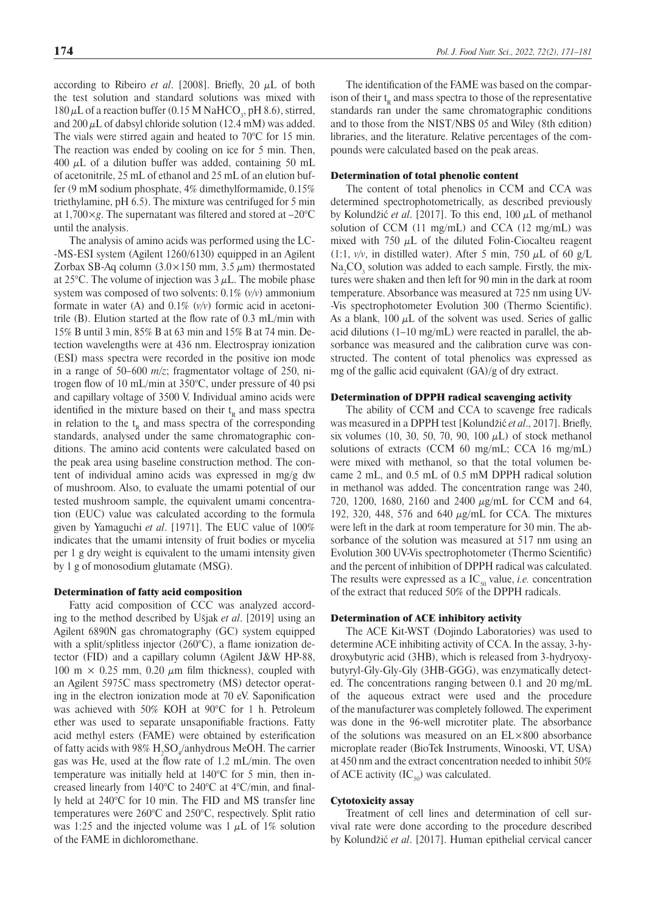according to Ribeiro *et al.* [2008]. Briefly, 20  $\mu$ L of both the test solution and standard solutions was mixed with  $180 \mu L$  of a reaction buffer (0.15 M NaHCO<sub>3</sub>, pH 8.6), stirred, and  $200 \mu L$  of dabsyl chloride solution (12.4 mM) was added. The vials were stirred again and heated to 70°C for 15 min. The reaction was ended by cooling on ice for 5 min. Then, 400  $\mu$ L of a dilution buffer was added, containing 50 mL of acetonitrile, 25 mL of ethanol and 25 mL of an elution buffer (9 mM sodium phosphate, 4% dimethylformamide, 0.15% triethylamine, pH 6.5). The mixture was centrifuged for 5 min at 1,700×*g*. The supernatant was filtered and stored at –20°C

until the analysis. The analysis of amino acids was performed using the LC- -MS-ESI system (Agilent 1260/6130) equipped in an Agilent Zorbax SB-Aq column  $(3.0 \times 150 \text{ mm}, 3.5 \mu \text{m})$  thermostated at 25 $\degree$ C. The volume of injection was 3  $\mu$ L. The mobile phase system was composed of two solvents: 0.1% (*v/v*) ammonium formate in water (A) and 0.1% (*v/v*) formic acid in acetonitrile (B). Elution started at the flow rate of 0.3 mL/min with 15% B until 3 min, 85% B at 63 min and 15% B at 74 min. Detection wavelengths were at 436 nm. Electrospray ionization (ESI) mass spectra were recorded in the positive ion mode in a range of  $50-600$   $m/z$ ; fragmentator voltage of 250, nitrogen flow of 10 mL/min at 350°C, under pressure of 40 psi and capillary voltage of 3500 V. Individual amino acids were identified in the mixture based on their  $t<sub>p</sub>$  and mass spectra in relation to the  $t<sub>R</sub>$  and mass spectra of the corresponding standards, analysed under the same chromatographic conditions. The amino acid contents were calculated based on the peak area using baseline construction method. The content of individual amino acids was expressed in mg/g dw of mushroom. Also, to evaluate the umami potential of our tested mushroom sample, the equivalent umami concentration (EUC) value was calculated according to the formula given by Yamaguchi *et al*. [1971]. The EUC value of 100% indicates that the umami intensity of fruit bodies or mycelia per 1 g dry weight is equivalent to the umami intensity given by 1 g of monosodium glutamate (MSG).

#### Determination of fatty acid composition

Fatty acid composition of CCC was analyzed according to the method described by Ušjak *et al*. [2019] using an Agilent 6890N gas chromatography (GC) system equipped with a split/splitless injector (260°C), a flame ionization detector (FID) and a capillary column (Agilent J&W HP-88, 100 m  $\times$  0.25 mm, 0.20  $\mu$ m film thickness), coupled with an Agilent 5975C mass spectrometry (MS) detector operating in the electron ionization mode at 70 eV. Saponification was achieved with 50% KOH at 90°C for 1 h. Petroleum ether was used to separate unsaponifiable fractions. Fatty acid methyl esters (FAME) were obtained by esterification of fatty acids with 98%  $\rm H_2SO_4$ /anhydrous MeOH. The carrier gas was He, used at the flow rate of 1.2 mL/min. The oven temperature was initially held at 140°C for 5 min, then increased linearly from 140°C to 240°C at 4°C/min, and finally held at 240°C for 10 min. The FID and MS transfer line temperatures were 260°C and 250°C, respectively. Split ratio was 1:25 and the injected volume was 1  $\mu$ L of 1% solution of the FAME in dichloromethane.

The identification of the FAME was based on the comparison of their  $t_{R}$  and mass spectra to those of the representative standards ran under the same chromatographic conditions and to those from the NIST/NBS 05 and Wiley (8th edition) libraries, and the literature. Relative percentages of the compounds were calculated based on the peak areas.

#### Determination of total phenolic content

The content of total phenolics in CCM and CCA was determined spectrophotometrically, as described previously by Kolundžić *et al*. [2017]. To this end, 100 μL of methanol solution of CCM  $(11 \text{ mg/mL})$  and CCA  $(12 \text{ mg/mL})$  was mixed with 750  $\mu$ L of the diluted Folin-Ciocalteu reagent (1:1,  $v/v$ , in distilled water). After 5 min, 750  $\mu$ L of 60  $g/L$  $\text{Na}_2\text{CO}_3$  solution was added to each sample. Firstly, the mixtures were shaken and then left for 90 min in the dark at room temperature. Absorbance was measured at 725 nm using UV- -Vis spectrophotometer Evolution 300 (Thermo Scientific). As a blank,  $100 \mu L$  of the solvent was used. Series of gallic acid dilutions (1–10 mg/mL) were reacted in parallel, the absorbance was measured and the calibration curve was constructed. The content of total phenolics was expressed as mg of the gallic acid equivalent (GA)/g of dry extract.

#### Determination of DPPH radical scavenging activity

The ability of CCM and CCA to scavenge free radicals was measured in a DPPH test [Kolundžić *et al*., 2017]. Briefly, six volumes (10, 30, 50, 70, 90, 100  $\mu$ L) of stock methanol solutions of extracts (CCM 60 mg/mL; CCA 16 mg/mL) were mixed with methanol, so that the total volumen became 2 mL, and 0.5 mL of 0.5 mM DPPH radical solution in methanol was added. The concentration range was 240, 720, 1200, 1680, 2160 and 2400  $\mu$ g/mL for CCM and 64, 192, 320, 448, 576 and 640  $\mu$ g/mL for CCA. The mixtures were left in the dark at room temperature for 30 min. The absorbance of the solution was measured at 517 nm using an Evolution 300 UV-Vis spectrophotometer (Thermo Scientific) and the percent of inhibition of DPPH radical was calculated. The results were expressed as a  $IC_{50}$  value, *i.e.* concentration of the extract that reduced 50% of the DPPH radicals.

#### Determination of ACE inhibitory activity

The ACE Kit-WST (Dojindo Laboratories) was used to determine ACE inhibiting activity of CCA. In the assay, 3-hydroxybutyric acid (3HB), which is released from 3-hydryoxybutyryl-Gly-Gly-Gly (3HB-GGG), was enzymatically detected. The concentrations ranging between 0.1 and 20 mg/mL of the aqueous extract were used and the procedure of the manufacturer was completely followed. The experiment was done in the 96-well microtiter plate. The absorbance of the solutions was measured on an EL×800 absorbance microplate reader (BioTek Instruments, Winooski, VT, USA) at 450 nm and the extract concentration needed to inhibit 50% of ACE activity  $(IC_{50})$  was calculated.

# Cytotoxicity assay

Treatment of cell lines and determination of cell survival rate were done according to the procedure described by Kolundžić *et al*. [2017]. Human epithelial cervical cancer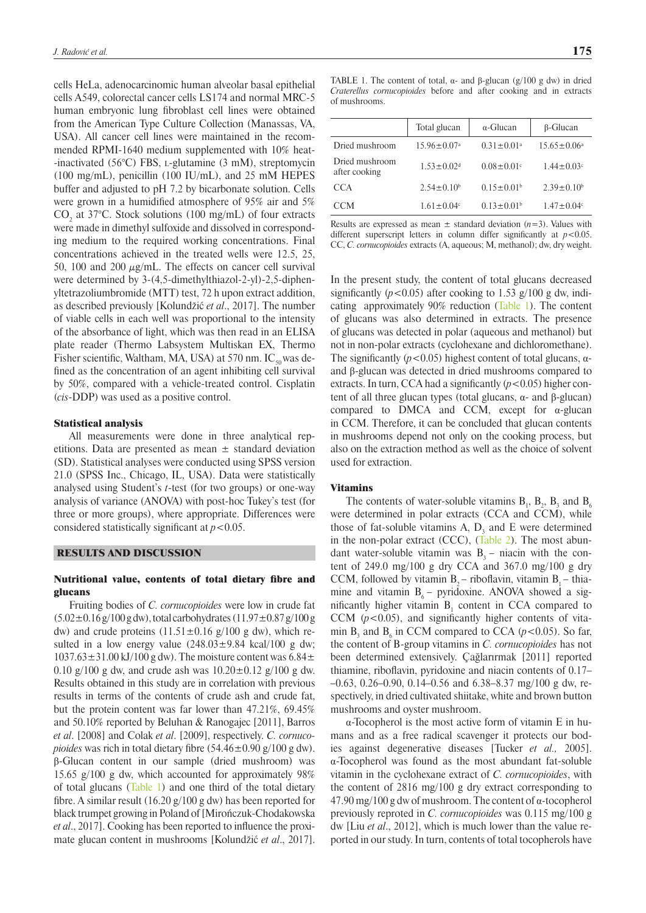cells HeLa, adenocarcinomic human alveolar basal epithelial cells A549, colorectal cancer cells LS174 and normal MRC-5 human embryonic lung fibroblast cell lines were obtained from the American Type Culture Collection (Manassas, VA, USA). All cancer cell lines were maintained in the recommended RPMI-1640 medium supplemented with 10% heat- -inactivated  $(56^{\circ}C)$  FBS, *L*-glutamine  $(3 \text{ mM})$ , streptomycin (100 mg/mL), penicillin (100 IU/mL), and 25 mM HEPES buffer and adjusted to pH 7.2 by bicarbonate solution. Cells were grown in a humidified atmosphere of 95% air and 5%  $CO<sub>2</sub>$  at 37°C. Stock solutions (100 mg/mL) of four extracts were made in dimethyl sulfoxide and dissolved in corresponding medium to the required working concentrations. Final concentrations achieved in the treated wells were 12.5, 25, 50, 100 and 200  $\mu$ g/mL. The effects on cancer cell survival were determined by 3-(4,5-dimethylthiazol-2-yl)-2,5-diphenyltetrazoliumbromide (MTT) test, 72 h upon extract addition, as described previously [Kolundžić *et al*., 2017]. The number of viable cells in each well was proportional to the intensity of the absorbance of light, which was then read in an ELISA plate reader (Thermo Labsystem Multiskan EX, Thermo Fisher scientific, Waltham, MA, USA) at 570 nm.  $IC_{50}$  was defined as the concentration of an agent inhibiting cell survival by 50%, compared with a vehicle-treated control. Cisplatin (*cis*-DDP) was used as a positive control.

#### Statistical analysis

All measurements were done in three analytical repetitions. Data are presented as mean  $\pm$  standard deviation (SD). Statistical analyses were conducted using SPSS version 21.0 (SPSS Inc., Chicago, IL, USA). Data were statistically analysed using Student's *t*-test (for two groups) or one-way analysis of variance (ANOVA) with post-hoc Tukey's test (for three or more groups), where appropriate. Differences were considered statistically significant at  $p < 0.05$ .

#### RESULTS AND DISCUSSION

#### Nutritional value, contents of total dietary fibre and glucans

Fruiting bodies of *C. cornucopioides* were low in crude fat  $(5.02 \pm 0.16 \text{ g}/100 \text{ g} \text{ dw})$ , total carbohydrates  $(11.97 \pm 0.87 \text{ g}/100 \text{ g} \text{ s})$ dw) and crude proteins  $(11.51 \pm 0.16 \text{ g}/100 \text{ g} \text{ dw})$ , which resulted in a low energy value  $(248.03 \pm 9.84 \text{ kcal}/100 \text{ g dw})$ ;  $1037.63 \pm 31.00 \text{ kJ} / 100 \text{ g}$  dw). The moisture content was  $6.84 \pm$ 0.10 g/100 g dw, and crude ash was  $10.20 \pm 0.12$  g/100 g dw. Results obtained in this study are in correlation with previous results in terms of the contents of crude ash and crude fat, but the protein content was far lower than 47.21%, 69.45% and 50.10% reported by Beluhan & Ranogajec [2011], Barros *et al*. [2008] and Colak *et al*. [2009], respectively. *C. cornucopioides* was rich in total dietary fibre  $(54.46 \pm 0.90 \text{ g}/100 \text{ g dw})$ . β-Glucan content in our sample (dried mushroom) was 15.65 g/100 g dw, which accounted for approximately 98% of total glucans ([Table 1](#page-4-0)) and one third of the total dietary fibre. A similar result (16.20 g/100 g dw) has been reported for black trumpet growing in Poland of [Mirończuk-Chodakowska *et al*., 2017]. Cooking has been reported to influence the proximate glucan content in mushrooms [Kolundžić *et al*., 2017].

<span id="page-4-0"></span>TABLE 1. The content of total,  $\alpha$ - and  $\beta$ -glucan (g/100 g dw) in dried *Craterellus cornucopioides* before and after cooking and in extracts of mushrooms.

|                                 | Total glucan                 | $\alpha$ -Glucan  | $\beta$ -Glucan              |
|---------------------------------|------------------------------|-------------------|------------------------------|
| Dried mushroom                  | $15.96 \pm 0.07^{\text{a}}$  | $0.31 \pm 0.01^a$ | $15.65 \pm 0.06^a$           |
| Dried mushroom<br>after cooking | $1.53 \pm 0.02$ <sup>d</sup> | $0.08 \pm 0.01$ ° | $1.44 \pm 0.03$ <sup>c</sup> |
| CCA                             | $2.54 \pm 0.10^b$            | $0.15 \pm 0.01^b$ | $2.39 \pm 0.10^b$            |
| CCM                             | $1.61 \pm 0.04$ °            | $0.13 \pm 0.01^b$ | $1.47 \pm 0.04$ c            |
|                                 |                              |                   |                              |

Results are expressed as mean  $\pm$  standard deviation ( $n=3$ ). Values with different superscript letters in column differ significantly at  $p < 0.05$ . CC, *C. cornucopioides* extracts (A, aqueous; M, methanol); dw, dry weight.

In the present study, the content of total glucans decreased significantly  $(p<0.05)$  after cooking to 1.53 g/100 g dw, indicating approximately 90% reduction [\(Table 1](#page-4-0)). The content of glucans was also determined in extracts. The presence of glucans was detected in polar (aqueous and methanol) but not in non-polar extracts (cyclohexane and dichloromethane). The significantly  $(p<0.05)$  highest content of total glucans,  $\alpha$ and β-glucan was detected in dried mushrooms compared to extracts. In turn, CCA had a significantly  $(p<0.05)$  higher content of all three glucan types (total glucans,  $α$ - and β-glucan) compared to DMCA and CCM, except for  $\alpha$ -glucan in CCM. Therefore, it can be concluded that glucan contents in mushrooms depend not only on the cooking process, but also on the extraction method as well as the choice of solvent used for extraction.

#### Vitamins

The contents of water-soluble vitamins  $B_1$ ,  $B_2$ ,  $B_3$  and  $B_6$ were determined in polar extracts (CCA and CCM), while those of fat-soluble vitamins  $A$ ,  $D_3$  and  $E$  were determined in the non-polar extract (CCC), [\(Table 2\)](#page-5-0). The most abundant water-soluble vitamin was  $B_3$  – niacin with the content of  $249.0 \text{ mg}/100 \text{ g}$  dry CCA and  $367.0 \text{ mg}/100 \text{ g}$  dry CCM, followed by vitamin  $B_2$  – riboflavin, vitamin  $B_1$  – thiamine and vitamin  $B_6$  – pyridoxine. ANOVA showed a significantly higher vitamin  $B_1$  content in CCA compared to CCM  $(p<0.05)$ , and significantly higher contents of vitamin  $B_3$  and  $B_6$  in CCM compared to CCA ( $p$ <0.05). So far, the content of B-group vitamins in *C. cornucopioides* has not been determined extensively. Çağlarırmak [2011] reported thiamine, riboflavin, pyridoxine and niacin contents of 0.17– –0.63, 0.26–0.90, 0.14–0.56 and 6.38–8.37 mg/100 g dw, respectively, in dried cultivated shiitake, white and brown button mushrooms and oyster mushroom.

α-Tocopherol is the most active form of vitamin E in humans and as a free radical scavenger it protects our bodies against degenerative diseases [Tucker *et al.,* 2005]. α-Tocopherol was found as the most abundant fat-soluble vitamin in the cyclohexane extract of *C. cornucopioides*, with the content of 2816 mg/100 g dry extract corresponding to 47.90 mg/100 g dw of mushroom. The content of α-tocopherol previously reproted in *C. cornucopioides* was 0.115 mg/100 g dw [Liu *et al*., 2012], which is much lower than the value reported in our study. In turn, contents of total tocopherols have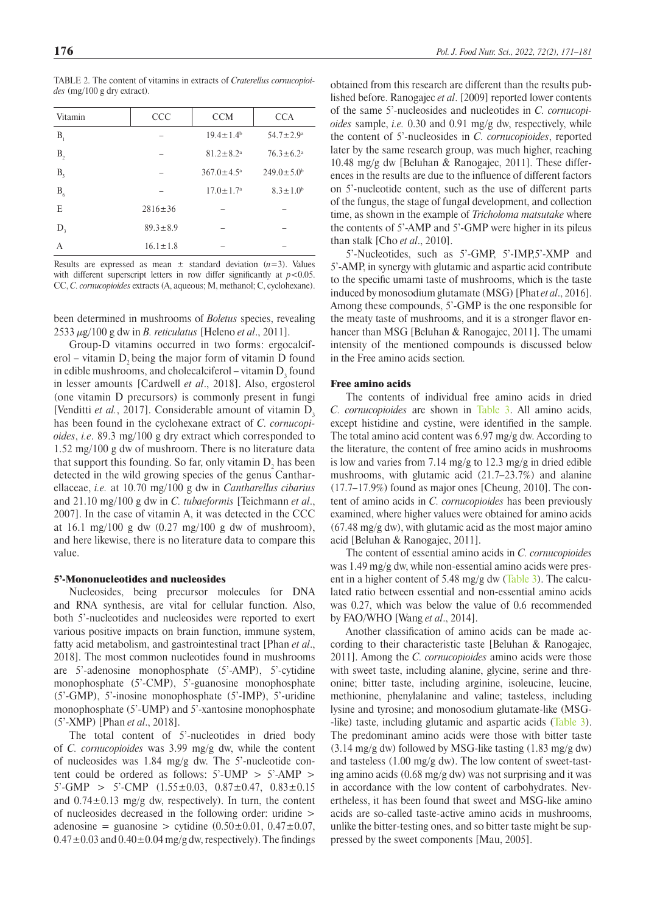| Vitamin        | <b>CCC</b>     | <b>CCM</b>                  | <b>CCA</b>             |
|----------------|----------------|-----------------------------|------------------------|
| B <sub>1</sub> |                | $19.4 \pm 1.4^{\circ}$      | $54.7 \pm 2.9^{\circ}$ |
| B <sub>2</sub> |                | $81.2 \pm 8.2$ <sup>a</sup> | $76.3 \pm 6.2^{\circ}$ |
| B <sub>3</sub> |                | $367.0 \pm 4.5^{\circ}$     | $249.0 \pm 5.0^b$      |
| $B_6$          |                | $17.0 \pm 1.7^{\circ}$      | $8.3 \pm 1.0^b$        |
| E              | $2816 \pm 36$  |                             |                        |
| $D_{3}$        | $89.3 \pm 8.9$ |                             |                        |
| A              | $16.1 \pm 1.8$ |                             |                        |

<span id="page-5-0"></span>TABLE 2. The content of vitamins in extracts of *Craterellus cornucopioides* (mg/100 g dry extract).

Results are expressed as mean  $\pm$  standard deviation  $(n=3)$ . Values with different superscript letters in row differ significantly at  $p < 0.05$ . CC, *C. cornucopioides* extracts (A, aqueous; M, methanol; C, cyclohexane).

been determined in mushrooms of *Boletus* species, revealing 2533 µg/100 g dw in *B. reticulatus* [Heleno *et al*., 2011].

Group-D vitamins occurred in two forms: ergocalciferol – vitamin  $D<sub>2</sub>$  being the major form of vitamin  $D$  found in edible mushrooms, and cholecalciferol – vitamin  $D_3$  found in lesser amounts [Cardwell *et al*., 2018]. Also, ergosterol (one vitamin D precursors) is commonly present in fungi [Venditti *et al.*, 2017]. Considerable amount of vitamin D<sub>2</sub> has been found in the cyclohexane extract of *C. cornucopioides*, *i.e*. 89.3 mg/100 g dry extract which corresponded to 1.52 mg/100 g dw of mushroom. There is no literature data that support this founding. So far, only vitamin  $D_2$  has been detected in the wild growing species of the genus Cantharellaceae, *i.e.* at 10.70 mg/100 g dw in *Cantharellus cibarius* and 21.10 mg/100 g dw in *C. tubaeformis* [Teichmann *et al*., 2007]. In the case of vitamin A, it was detected in the CCC at 16.1 mg/100 g dw (0.27 mg/100 g dw of mushroom), and here likewise, there is no literature data to compare this value.

#### 5'-Mononucleotides and nucleosides

Nucleosides, being precursor molecules for DNA and RNA synthesis, are vital for cellular function. Also, both 5'-nucleotides and nucleosides were reported to exert various positive impacts on brain function, immune system, fatty acid metabolism, and gastrointestinal tract [Phan *et al*., 2018]. The most common nucleotides found in mushrooms are 5'-adenosine monophosphate (5'-AMP), 5'-cytidine monophosphate (5'-CMP), 5'-guanosine monophosphate (5'-GMP), 5'-inosine monophosphate (5'-IMP), 5'-uridine monophosphate (5'-UMP) and 5'-xantosine monophosphate (5'-XMP) [Phan *et al*., 2018].

The total content of 5'-nucleotides in dried body of *C. cornucopioides* was 3.99 mg/g dw, while the content of nucleosides was 1.84 mg/g dw. The 5'-nucleotide content could be ordered as follows:  $5'-UMP > 5'-AMP >$  $5'-GMP > 5'-CMP$   $(1.55\pm0.03, 0.87\pm0.47, 0.83\pm0.15)$ and  $0.74 \pm 0.13$  mg/g dw, respectively). In turn, the content of nucleosides decreased in the following order: uridine > adenosine = guanosine > cytidine  $(0.50\pm0.01, 0.47\pm0.07,$  $0.47 \pm 0.03$  and  $0.40 \pm 0.04$  mg/g dw, respectively). The findings obtained from this research are different than the results published before. Ranogajec *et al*. [2009] reported lower contents of the same 5'-nucleosides and nucleotides in *C. cornucopioides* sample, *i.e.* 0.30 and 0.91 mg/g dw, respectively, while the content of 5'-nucleosides in *C. cornucopioides*, reported later by the same research group, was much higher, reaching 10.48 mg/g dw [Beluhan & Ranogajec, 2011]. These differences in the results are due to the influence of different factors on 5'-nucleotide content, such as the use of different parts of the fungus, the stage of fungal development, and collection time, as shown in the example of *Tricholoma matsutake* where the contents of 5'-AMP and 5'-GMP were higher in its pileus than stalk [Cho *et al*., 2010].

5'-Nucleotides, such as 5'-GMP, 5'-IMP,5'-XMP and 5'-AMP, in synergy with glutamic and aspartic acid contribute to the specific umami taste of mushrooms, which is the taste induced by monosodium glutamate (MSG) [Phat *et al*., 2016]. Among these compounds, 5'-GMP is the one responsible for the meaty taste of mushrooms, and it is a stronger flavor enhancer than MSG [Beluhan & Ranogajec, 2011]. The umami intensity of the mentioned compounds is discussed below in the Free amino acids section*.*

# Free amino acids

The contents of individual free amino acids in dried *C. cornucopioides* are shown in Table 3. All amino acids, except histidine and cystine, were identified in the sample. The total amino acid content was 6.97 mg/g dw. According to the literature, the content of free amino acids in mushrooms is low and varies from 7.14 mg/g to 12.3 mg/g in dried edible mushrooms, with glutamic acid (21.7–23.7%) and alanine (17.7–17.9%) found as major ones [Cheung, 2010]. The content of amino acids in *C. cornucopioides* has been previously examined, where higher values were obtained for amino acids (67.48 mg/g dw), with glutamic acid as the most major amino acid [Beluhan & Ranogajec, 2011].

The content of essential amino acids in *C. cornucopioides* was 1.49 mg/g dw, while non-essential amino acids were present in a higher content of 5.48 mg/g dw ([Table 3](#page-6-0)). The calculated ratio between essential and non-essential amino acids was 0.27, which was below the value of 0.6 recommended by FAO/WHO [Wang *et al*., 2014].

Another classification of amino acids can be made according to their characteristic taste [Beluhan & Ranogajec, 2011]. Among the *C. cornucopioides* amino acids were those with sweet taste, including alanine, glycine, serine and threonine; bitter taste, including arginine, isoleucine, leucine, methionine, phenylalanine and valine; tasteless, including lysine and tyrosine; and monosodium glutamate-like (MSG- -like) taste, including glutamic and aspartic acids [\(Table 3](#page-6-0)). The predominant amino acids were those with bitter taste (3.14 mg/g dw) followed by MSG-like tasting (1.83 mg/g dw) and tasteless (1.00 mg/g dw). The low content of sweet-tasting amino acids (0.68 mg/g dw) was not surprising and it was in accordance with the low content of carbohydrates. Nevertheless, it has been found that sweet and MSG-like amino acids are so-called taste-active amino acids in mushrooms, unlike the bitter-testing ones, and so bitter taste might be suppressed by the sweet components [Mau, 2005].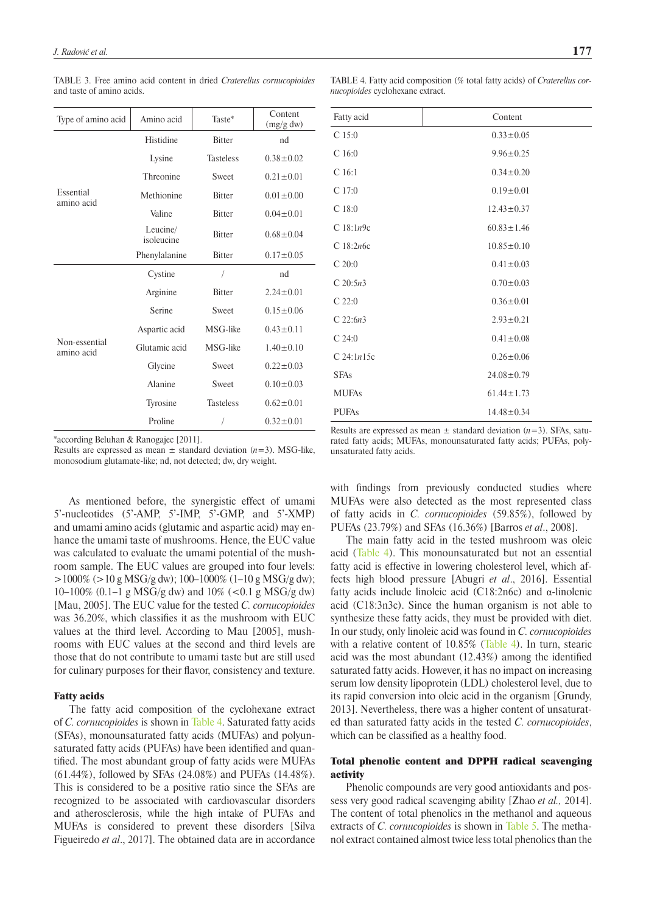| Type of amino acid          | Amino acid                     | Taste*           | Content<br>(mg/g dw) |
|-----------------------------|--------------------------------|------------------|----------------------|
|                             | Histidine                      | <b>Bitter</b>    | nd                   |
|                             | Lysine<br><b>Tasteless</b>     |                  | $0.38 \pm 0.02$      |
|                             | Threonine                      | Sweet            | $0.21 \pm 0.01$      |
| Essential<br>amino acid     | Methionine<br><b>Bitter</b>    |                  | $0.01 \pm 0.00$      |
|                             | Valine                         | <b>Bitter</b>    | $0.04 \pm 0.01$      |
|                             | Leucine/<br>isoleucine         | <b>Bitter</b>    | $0.68 \pm 0.04$      |
|                             | Phenylalanine<br><b>Bitter</b> |                  | $0.17 \pm 0.05$      |
|                             | Cystine                        | I                | nd                   |
|                             | Arginine                       | <b>Bitter</b>    | $2.24 \pm 0.01$      |
|                             | Serine                         | Sweet            | $0.15 \pm 0.06$      |
|                             | Aspartic acid                  | MSG-like         | $0.43 \pm 0.11$      |
| Non-essential<br>amino acid | Glutamic acid                  | MSG-like         | $1.40 \pm 0.10$      |
|                             | Glycine                        | Sweet            | $0.22 \pm 0.03$      |
|                             | Alanine                        | Sweet            | $0.10 \pm 0.03$      |
|                             | Tyrosine                       | <b>Tasteless</b> | $0.62 \pm 0.01$      |
|                             | Proline                        | /                | $0.32 \pm 0.01$      |

<span id="page-6-0"></span>TABLE 3. Free amino acid content in dried *Craterellus cornucopioides*  and taste of amino acids.

\*according Beluhan & Ranogajec [2011].

Results are expressed as mean  $\pm$  standard deviation ( $n=3$ ). MSG-like, monosodium glutamate-like; nd, not detected; dw, dry weight.

As mentioned before, the synergistic effect of umami 5'-nucleotides (5'-AMP, 5'-IMP, 5'-GMP, and 5'-XMP) and umami amino acids (glutamic and aspartic acid) may enhance the umami taste of mushrooms. Hence, the EUC value was calculated to evaluate the umami potential of the mushroom sample. The EUC values are grouped into four levels:  $>1000\%$  ( $>10 \text{ g }$  MSG/g dw); 100–1000% (1–10 g MSG/g dw); 10–100% (0.1–1 g MSG/g dw) and  $10\%$  (<0.1 g MSG/g dw) [Mau, 2005]. The EUC value for the tested *C. cornucopioides* was 36.20%, which classifies it as the mushroom with EUC values at the third level. According to Mau [2005], mushrooms with EUC values at the second and third levels are those that do not contribute to umami taste but are still used for culinary purposes for their flavor, consistency and texture.

### Fatty acids

The fatty acid composition of the cyclohexane extract of *C. cornucopioides* is shown in [Table 4](#page-6-1). Saturated fatty acids (SFAs), monounsaturated fatty acids (MUFAs) and polyunsaturated fatty acids (PUFAs) have been identified and quantified. The most abundant group of fatty acids were MUFAs (61.44%), followed by SFAs (24.08%) and PUFAs (14.48%). This is considered to be a positive ratio since the SFAs are recognized to be associated with cardiovascular disorders and atherosclerosis, while the high intake of PUFAs and MUFAs is considered to prevent these disorders [Silva Figueiredo *et al*., 2017]. The obtained data are in accordance

<span id="page-6-1"></span>TABLE 4. Fatty acid composition (% total fatty acids) of *Craterellus cornucopioides* cyclohexane extract.

| Fatty acid           | Content          |
|----------------------|------------------|
| $C$ 15:0             | $0.33 \pm 0.05$  |
| C <sub>16:0</sub>    | $9.96 \pm 0.25$  |
| C <sub>16:1</sub>    | $0.34 \pm 0.20$  |
| $C$ 17:0             | $0.19 \pm 0.01$  |
| C18:0                | $12.43 \pm 0.37$ |
| C18:1n9c             | $60.83 \pm 1.46$ |
| $C$ 18:2 <i>n</i> 6c | $10.85 \pm 0.10$ |
| C20:0                | $0.41 \pm 0.03$  |
| C 20:5n3             | $0.70 \pm 0.03$  |
| C22:0                | $0.36 \pm 0.01$  |
| $C$ 22:6 $n3$        | $2.93 \pm 0.21$  |
| C24:0                | $0.41 \pm 0.08$  |
| $C$ 24:1 $n$ 15c     | $0.26 \pm 0.06$  |
| <b>SFAs</b>          | $24.08 \pm 0.79$ |
| <b>MUFAs</b>         | $61.44 \pm 1.73$ |
| <b>PUFAs</b>         | $14.48 \pm 0.34$ |

Results are expressed as mean  $\pm$  standard deviation ( $n=3$ ). SFAs, saturated fatty acids; MUFAs, monounsaturated fatty acids; PUFAs, polyunsaturated fatty acids.

with findings from previously conducted studies where MUFAs were also detected as the most represented class of fatty acids in *C. cornucopioides* (59.85%), followed by PUFAs (23.79%) and SFAs (16.36%) [Barros *et al*., 2008].

The main fatty acid in the tested mushroom was oleic acid ([Table 4](#page-6-1)). This monounsaturated but not an essential fatty acid is effective in lowering cholesterol level, which affects high blood pressure [Abugri *et al*., 2016]. Essential fatty acids include linoleic acid (C18:2n6c) and  $\alpha$ -linolenic acid (C18:3n3c). Since the human organism is not able to synthesize these fatty acids, they must be provided with diet. In our study, only linoleic acid was found in *C. cornucopioides*  with a relative content of 10.85% [\(Table 4\)](#page-6-1). In turn, stearic acid was the most abundant (12.43%) among the identified saturated fatty acids. However, it has no impact on increasing serum low density lipoprotein (LDL) cholesterol level, due to its rapid conversion into oleic acid in the organism [Grundy, 2013]. Nevertheless, there was a higher content of unsaturated than saturated fatty acids in the tested *C. cornucopioides*, which can be classified as a healthy food.

# Total phenolic content and DPPH radical scavenging activity

Phenolic compounds are very good antioxidants and possess very good radical scavenging ability [Zhao *et al.,* 2014]. The content of total phenolics in the methanol and aqueous extracts of *C. cornucopioides* is shown in [Table 5.](#page-7-0) The methanol extract contained almost twice less total phenolics than the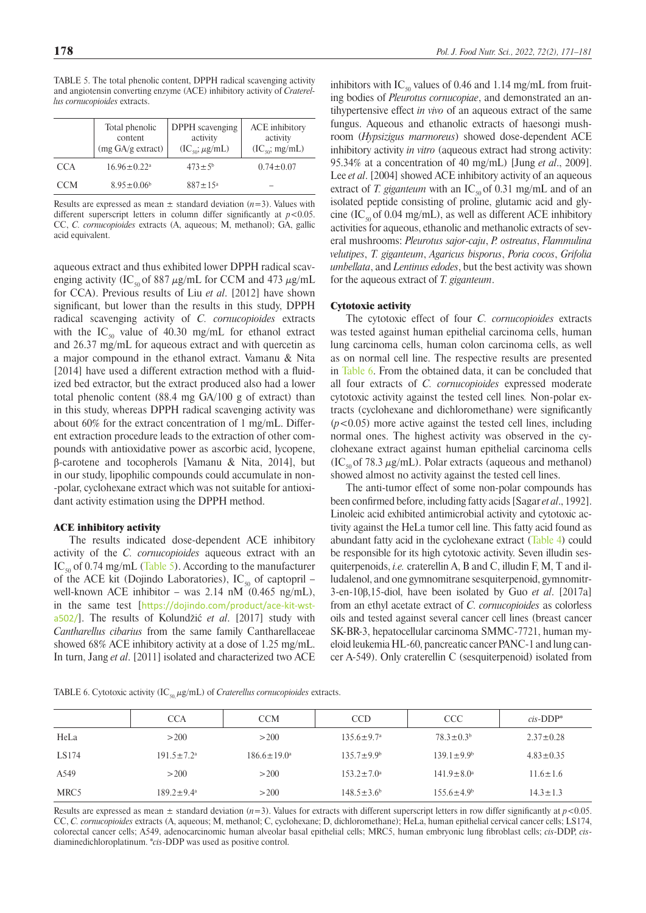<span id="page-7-0"></span>TABLE 5. The total phenolic content, DPPH radical scavenging activity and angiotensin converting enzyme (ACE) inhibitory activity of *Craterellus cornucopioides* extracts.

|            | Total phenolic<br>content<br>(mg GA/g extract) | DPPH scavenging<br>activity<br>$(IC_{50}; \mu g/mL)$ | ACE inhibitory<br>activity<br>$(IC_{50}; mg/mL)$ |
|------------|------------------------------------------------|------------------------------------------------------|--------------------------------------------------|
| CCA        | $16.96 \pm 0.22$ <sup>a</sup>                  | $473 \pm 5^{\rm b}$                                  | $0.74 \pm 0.07$                                  |
| <b>CCM</b> | $8.95 \pm 0.06^b$                              | $887 \pm 15^{\circ}$                                 |                                                  |

Results are expressed as mean  $\pm$  standard deviation ( $n=3$ ). Values with different superscript letters in column differ significantly at  $p < 0.05$ . CC, *C. cornucopioides* extracts (A, aqueous; M, methanol); GA, gallic acid equivalent.

aqueous extract and thus exhibited lower DPPH radical scavenging activity (IC<sub>50</sub> of 887  $\mu$ g/mL for CCM and 473  $\mu$ g/mL for CCA). Previous results of Liu *et al*. [2012] have shown significant, but lower than the results in this study, DPPH radical scavenging activity of *C. cornucopioides* extracts with the  $IC_{50}$  value of 40.30 mg/mL for ethanol extract and 26.37 mg/mL for aqueous extract and with quercetin as a major compound in the ethanol extract. Vamanu & Nita [2014] have used a different extraction method with a fluidized bed extractor, but the extract produced also had a lower total phenolic content (88.4 mg GA/100 g of extract) than in this study, whereas DPPH radical scavenging activity was about 60% for the extract concentration of 1 mg/mL. Different extraction procedure leads to the extraction of other compounds with antioxidative power as ascorbic acid, lycopene, β-carotene and tocopherols [Vamanu & Nita, 2014], but in our study, lipophilic compounds could accumulate in non- -polar, cyclohexane extract which was not suitable for antioxidant activity estimation using the DPPH method.

#### ACE inhibitory activity

The results indicated dose-dependent ACE inhibitory activity of the *C. cornucopioides* aqueous extract with an IC<sub>50</sub> of 0.74 mg/mL [\(Table 5\)](#page-7-0). According to the manufacturer of the ACE kit (Dojindo Laboratories),  $IC_{50}$  of captopril – well-known ACE inhibitor – was  $2.14$  nM  $(0.465$  ng/mL), in the same test [[https://dojindo.com/product/ace-kit-wst](https://dojindo.com/product/ace-kit-wst-a502/)[a502/](https://dojindo.com/product/ace-kit-wst-a502/)]. The results of Kolundžić *et al*. [2017] study with *Cantharellus cibarius* from the same family Cantharellaceae showed 68% ACE inhibitory activity at a dose of 1.25 mg/mL. In turn, Jang *et al*. [2011] isolated and characterized two ACE

inhibitors with IC<sub>50</sub> values of 0.46 and 1.14 mg/mL from fruiting bodies of *Pleurotus cornucopiae*, and demonstrated an antihypertensive effect *in vivo* of an aqueous extract of the same fungus. Aqueous and ethanolic extracts of haesongi mushroom (*Hypsizigus marmoreus*) showed dose-dependent ACE inhibitory activity *in vitro* (aqueous extract had strong activity: 95.34% at a concentration of 40 mg/mL) [Jung *et al*., 2009]. Lee *et al*. [2004] showed ACE inhibitory activity of an aqueous extract of *T. giganteum* with an  $IC_{50}$  of 0.31 mg/mL and of an isolated peptide consisting of proline, glutamic acid and glycine (IC<sub>50</sub> of 0.04 mg/mL), as well as different ACE inhibitory activities for aqueous, ethanolic and methanolic extracts of several mushrooms: *Pleurotus sajor-caju*, *P. ostreatus*, *Flammulina velutipes*, *T. giganteum*, *Agaricus bisporus*, *Poria cocos*, *Grifolia umbellata*, and *Lentinus edodes*, but the best activity was shown for the aqueous extract of *T. giganteum*.

#### Cytotoxic activity

The cytotoxic effect of four *C. cornucopioides* extracts was tested against human epithelial carcinoma cells, human lung carcinoma cells, human colon carcinoma cells, as well as on normal cell line. The respective results are presented in [Table 6](#page-7-1). From the obtained data, it can be concluded that all four extracts of *C. cornucopioides* expressed moderate cytotoxic activity against the tested cell lines*.* Non-polar extracts (cyclohexane and dichloromethane) were significantly  $(p<0.05)$  more active against the tested cell lines, including normal ones. The highest activity was observed in the cyclohexane extract against human epithelial carcinoma cells  $(IC_{50}$  of 78.3  $\mu$ g/mL). Polar extracts (aqueous and methanol) showed almost no activity against the tested cell lines.

The anti-tumor effect of some non-polar compounds has been confirmed before, including fatty acids [Sagar *et al*., 1992]. Linoleic acid exhibited antimicrobial activity and cytotoxic activity against the HeLa tumor cell line. This fatty acid found as abundant fatty acid in the cyclohexane extract ([Table 4](#page-6-1)) could be responsible for its high cytotoxic activity. Seven illudin sesquiterpenoids, *i.e.* craterellin A, B and C, illudin F, M, T and illudalenol, and one gymnomitrane sesquiterpenoid, gymnomitr-3-en-10β,15-diol, have been isolated by Guo *et al*. [2017a] from an ethyl acetate extract of *C. cornucopioides* as colorless oils and tested against several cancer cell lines (breast cancer SK-BR-3, hepatocellular carcinoma SMMC-7721, human myeloid leukemia HL-60, pancreatic cancer PANC-1 and lung cancer A-549). Only craterellin C (sesquiterpenoid) isolated from

<span id="page-7-1"></span>TABLE 6. Cytotoxic activity (IC<sub>50, µ</sub>g/mL) of *Craterellus cornucopioides* extracts.

|       | <b>CCA</b>                   | <b>CCM</b>         | <b>CCD</b>                   | <b>CCC</b>                   | $cis$ -DDP*     |
|-------|------------------------------|--------------------|------------------------------|------------------------------|-----------------|
| HeLa  | >200                         | >200               | $135.6 \pm 9.7^{\circ}$      | $78.3 \pm 0.3^b$             | $2.37 \pm 0.28$ |
| LS174 | $191.5 \pm 7.2$ <sup>a</sup> | $186.6 \pm 19.0^a$ | $135.7 \pm 9.9^{\circ}$      | $139.1 \pm 9.9^b$            | $4.83 \pm 0.35$ |
| A549  | >200                         | >200               | $153.2 \pm 7.0$ <sup>a</sup> | $141.9 \pm 8.0$ <sup>a</sup> | $11.6 \pm 1.6$  |
| MRC5  | $189.2 \pm 9.4^{\circ}$      | >200               | $148.5 \pm 3.6^b$            | $155.6 \pm 4.9^{\circ}$      | $14.3 \pm 1.3$  |

Results are expressed as mean  $\pm$  standard deviation (*n*=3). Values for extracts with different superscript letters in row differ significantly at *p*<0.05. CC, *C. cornucopioides* extracts (A, aqueous; M, methanol; C, cyclohexane; D, dichloromethane); HeLa, human epithelial cervical cancer cells; LS174, colorectal cancer cells; A549, adenocarcinomic human alveolar basal epithelial cells; MRC5, human embryonic lung fibroblast cells; *cis*-DDP, *cis*diaminedichloroplatinum. \**cis*-DDP was used as positive control.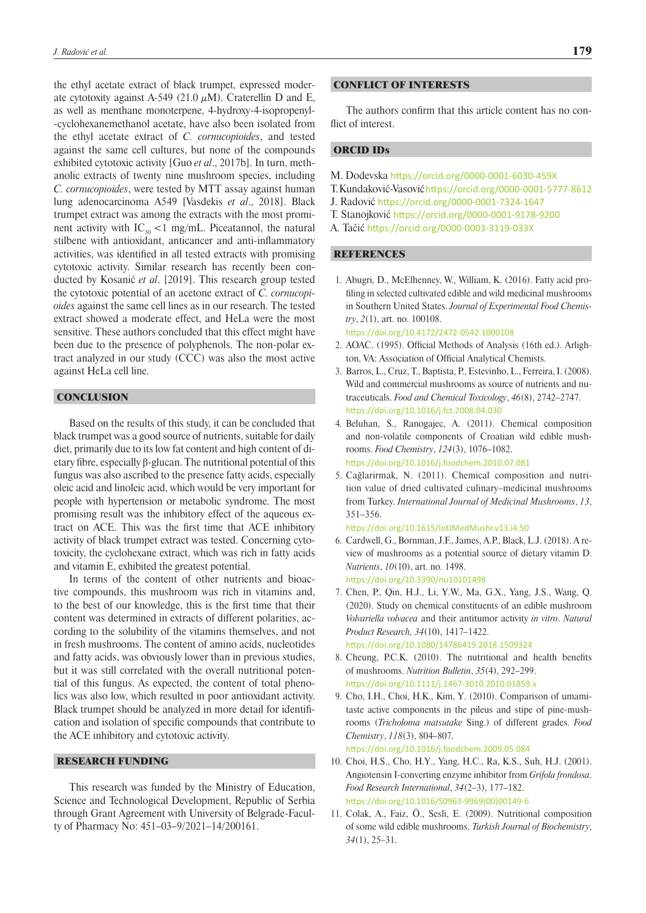the ethyl acetate extract of black trumpet, expressed moderate cytotoxity against A-549 (21.0  $\mu$ M). Craterellin D and E, as well as menthane monoterpene, 4-hydroxy-4-isopropenyl- -cyclohexanemethanol acetate, have also been isolated from the ethyl acetate extract of *C. cornucopioides*, and tested against the same cell cultures, but none of the compounds exhibited cytotoxic activity [Guo *et al*., 2017b]. In turn, methanolic extracts of twenty nine mushroom species, including *C. cornucopioides*, were tested by MTT assay against human lung adenocarcinoma A549 [Vasdekis *et al*., 2018]. Black trumpet extract was among the extracts with the most prominent activity with  $IC_{50}$  < 1 mg/mL. Piceatannol, the natural stilbene with antioxidant, anticancer and anti-inflammatory activities, was identified in all tested extracts with promising cytotoxic activity. Similar research has recently been conducted by Kosanić *et al*. [2019]. This research group tested the cytotoxic potential of an acetone extract of *C. cornucopioides* against the same cell lines as in our research. The tested extract showed a moderate effect, and HeLa were the most sensitive. These authors concluded that this effect might have been due to the presence of polyphenols. The non-polar extract analyzed in our study (CCC) was also the most active against HeLa cell line.

### **CONCLUSION**

Based on the results of this study, it can be concluded that black trumpet was a good source of nutrients, suitable for daily diet, primarily due to its low fat content and high content of dietary fibre, especially β-glucan. The nutritional potential of this fungus was also ascribed to the presence fatty acids, especially oleic acid and linoleic acid, which would be very important for people with hypertension or metabolic syndrome. The most promising result was the inhibitory effect of the aqueous extract on ACE. This was the first time that ACE inhibitory activity of black trumpet extract was tested. Concerning cytotoxicity, the cyclohexane extract, which was rich in fatty acids and vitamin E, exhibited the greatest potential.

In terms of the content of other nutrients and bioactive compounds, this mushroom was rich in vitamins and, to the best of our knowledge, this is the first time that their content was determined in extracts of different polarities, according to the solubility of the vitamins themselves, and not in fresh mushrooms. The content of amino acids, nucleotides and fatty acids, was obviously lower than in previous studies, but it was still correlated with the overall nutritional potential of this fungus. As expected, the content of total phenolics was also low, which resulted in poor antioxidant activity. Black trumpet should be analyzed in more detail for identification and isolation of specific compounds that contribute to the ACE inhibitory and cytotoxic activity.

### RESEARCH FUNDING

This research was funded by the Ministry of Education, Science and Technological Development, Republic of Serbia through Grant Agreement with University of Belgrade-Faculty of Pharmacy No: 451–03–9/2021–14/200161.

#### CONFLICT OF INTERESTS

The authors confirm that this article content has no conflict of interest.

# ORCID IDs

- M. Dodevska <https://orcid.org/0000-0001-6030-459X>
- T. Kundaković-Vasović <https://orcid.org/0000-0001-5777-8612>
- J. Radović <https://orcid.org/0000-0001-7324-1647>
- T. Stanojković <https://orcid.org/0000-0001-9178-9200>
- A. Tačić <https://orcid.org/0000-0003-3119-033X>

# REFERENCES

- 1. Abugri, D., McElhenney, W., William, K. (2016). Fatty acid profiling in selected cultivated edible and wild medicinal mushrooms in Southern United States. *Journal of Experimental Food Chemistry*, *2*(1), art. no. 100108.
	- <https://doi.org/10.4172/2472-0542.1000108>
- 2. AOAC. (1995). Official Methods of Analysis (16th ed.). Arlighton, VA: Association of Official Analytical Chemists.
- 3. Barros, L., Cruz, T., Baptista, P., Estevinho, L., Ferreira, I. (2008). Wild and commercial mushrooms as source of nutrients and nutraceuticals. *Food and Chemical Toxicology*, *46*(8), 2742–2747. <https://doi.org/10.1016/j.fct.2008.04.030>
- 4. Beluhan, S., Ranogajec, A. (2011). Chemical composition and non-volatile components of Croatian wild edible mushrooms. *Food Chemistry*, *124*(3), 1076–1082. <https://doi.org/10.1016/j.foodchem.2010.07.081>
- 5. Cağlarirmak, N. (2011). Chemical composition and nutrition value of dried cultivated culinary–medicinal mushrooms from Turkey. *International Journal of Medicinal Mushrooms*, *13*, 351–356.

<https://doi.org/10.1615/IntJMedMushr.v13.i4.50>

- 6. Cardwell, G., Bornman, J.F., James, A.P., Black, L.J. (2018). A review of mushrooms as a potential source of dietary vitamin D. *Nutrients*, *10*(10), art. no. 1498. <https://doi.org/10.3390/nu10101498>
- 7. Chen, P., Qin, H.J., Li, Y.W., Ma, G.X., Yang, J.S., Wang, Q. (2020). Study on chemical constituents of an edible mushroom *Volvariella volvacea* and their antitumor activity *in vitro*. *Natural Product Research, 34*(10), 1417–1422. <https://doi.org/10.1080/14786419.2018.1509324>
- 8. Cheung, P.C.K. (2010). The nutritional and health benefits of mushrooms. *Nutrition Bulletin*, *35*(4), 292–299. <https://doi.org/10.1111/j.1467-3010.2010.01859.x>
- 9. Cho, I.H., Choi, H.K., Kim, Y. (2010). Comparison of umamitaste active components in the pileus and stipe of pine-mushrooms (*Tricholoma matsutake* Sing.) of different grades. *Food Chemistry*, *118*(3), 804–807.

```
https://doi.org/10.1016/j.foodchem.2009.05.084
```
- 10. Choi, H.S., Cho, H.Y., Yang, H.C., Ra, K.S., Suh, H.J. (2001). Angiotensin I-converting enzyme inhibitor from *Grifola frondosa*. *Food Research International*, *34*(2–3), 177–182. [https://doi.org/10.1016/S0963-9969\(00\)00149-6](https://doi.org/10.1016/S0963-9969(00)00149-6)
- 11. Colak, A., Faiz, Ö., Sesli, E. (2009). Nutritional composition of some wild edible mushrooms. *Turkish Journal of Biochemistry*, *34*(1), 25–31.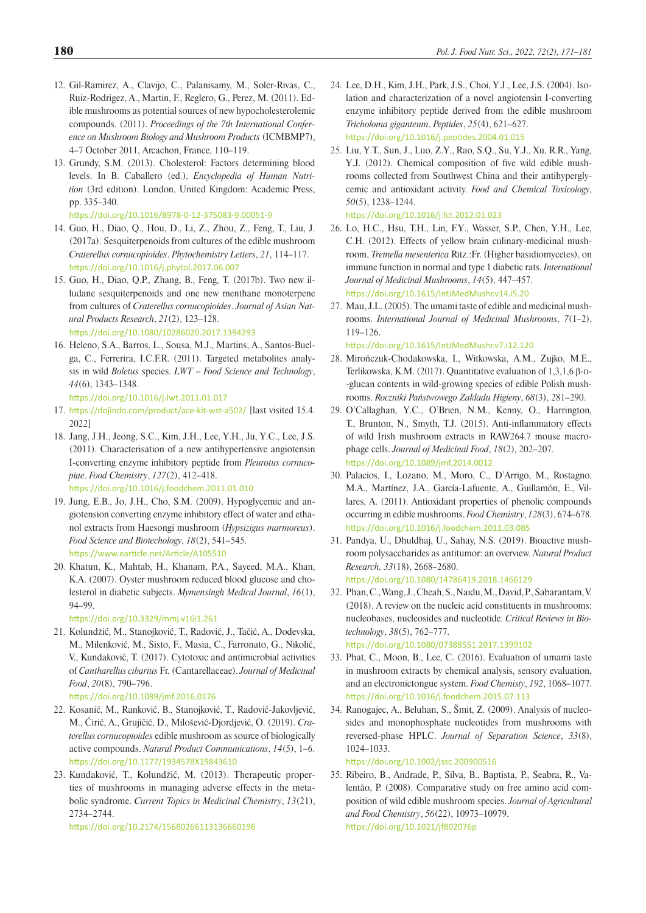- 12. Gil-Ramirez, A., Clavijo, C., Palanisamy, M., Soler-Rivas, C., Ruiz-Rodrigez, A., Martin, F., Reglero, G., Perez, M. (2011). Edible mushrooms as potential sources of new hypocholesterolemic compounds. (2011). *Proceedings of the 7th International Conference on Mushroom Biology and Mushroom Products* (ICMBMP7), 4–7 October 2011, Arcachon, France, 110–119.
- 13. Grundy, S.M. (2013). Cholesterol: Factors determining blood levels. In B. Caballero (ed.), *Encyclopedia of Human Nutrition* (3rd edition). London, United Kingdom: Academic Press, pp. 335–340.

<https://doi.org/10.1016/B978-0-12-375083-9.00051-9>

- 14. Guo, H., Diao, Q., Hou, D., Li, Z., Zhou, Z., Feng, T., Liu, J. (2017a). Sesquiterpenoids from cultures of the edible mushroom *Craterellus cornucopioides*. *Phytochemistry Letters*, *21*, 114–117. <https://doi.org/10.1016/j.phytol.2017.06.007>
- 15. Guo, H., Diao, Q.P., Zhang, B., Feng, T. (2017b). Two new illudane sesquiterpenoids and one new menthane monoterpene from cultures of *Craterellus cornucopioides*. *Journal of Asian Natural Products Research*, *21*(2), 123–128. <https://doi.org/10.1080/10286020.2017.1394293>
- 16. Heleno, S.A., Barros, L., Sousa, M.J., Martins, A., Santos-Buelga, C., Ferrerira, I.C.F.R. (2011). Targeted metabolites analysis in wild *Boletus* species. *LWT* – *Food Science and Technology*, *44*(6), 1343–1348.

<https://doi.org/10.1016/j.lwt.2011.01.017>

- 17. <https://dojindo.com/product/ace-kit-wst-a502/> [last visited 15.4. 2022]
- 18. Jang, J.H., Jeong, S.C., Kim, J.H., Lee, Y.H., Ju, Y.C., Lee, J.S. (2011). Characterisation of a new antihypertensive angiotensin I-converting enzyme inhibitory peptide from *Pleurotus cornucopiae*. *Food Chemistry*, *127*(2), 412–418.

<https://doi.org/10.1016/j.foodchem.2011.01.010>

- 19. Jung, E.B., Jo, J.H., Cho, S.M. (2009). Hypoglycemic and angiotension converting enzyme inhibitory effect of water and ethanol extracts from Haesongi mushroom (*Hypsizigus marmoreus*). *Food Science and Biotechology*, *18*(2), 541–545. <https://www.earticle.net/Article/A105510>
- 20. Khatun, K., Mahtab, H., Khanam, P.A., Sayeed, M.A., Khan, K.A. (2007). Oyster mushroom reduced blood glucose and cholesterol in diabetic subjects. *Mymensingh Medical Journal*, *16*(1), 94–99.

<https://doi.org/10.3329/mmj.v16i1.261>

- 21. Kolundžić, M., Stanojković, T., Radović, J., Tačić, A., Dodevska, M., Milenković, M., Sisto, F., Masia, C., Farronato, G., Nikolić, V., Kundaković, T. (2017). Cytotoxic and antimicrobial activities of *Cantharellus cibarius* Fr. (Cantarellaceae). *Journal of Medicinal Food*, *20*(8), 790–796.
	- <https://doi.org/10.1089/jmf.2016.0176>
- 22. Kosanić, M., Ranković, B., Stanojković, T., Radović-Jakovljević, M., Ćirić, A., Grujičić, D., Milošević-Djordjević, O. (2019). *Craterellus cornucopioides* edible mushroom as source of biologically active compounds. *Natural Product Communications*, *14*(5), 1–6. <https://doi.org/10.1177/1934578X19843610>
- 23. Kundaković, T., Kolundžić, M. (2013). [Therapeutic proper](http://www.ncbi.nlm.nih.gov/pubmed/24083790)[ties of mushrooms in managing adverse effects in the meta](http://www.ncbi.nlm.nih.gov/pubmed/24083790)[bolic syndrome.](http://www.ncbi.nlm.nih.gov/pubmed/24083790) *Current Topics in Medicinal Chemistry*, *13*(21), 2734–2744.

<https://doi.org/10.2174/15680266113136660196>

- 24. Lee, D.H., Kim, J.H., Park, J.S., Choi, Y.J., Lee, J.S. (2004). Isolation and characterization of a novel angiotensin I-converting enzyme inhibitory peptide derived from the edible mushroom *Tricholoma giganteum*. *Peptides*, *25*(4), 621–627. <https://doi.org/10.1016/j.peptides.2004.01.015>
- 25. Liu, Y.T., Sun, J., Luo, Z.Y., Rao, S.Q., Su, Y.J., Xu, R.R., Yang, Y.J. (2012). Chemical composition of five wild edible mushrooms collected from Southwest China and their antihyperglycemic and antioxidant activity. *Food and Chemical Toxicology*, *50*(5), 1238–1244.

<https://doi.org/10.1016/j.fct.2012.01.023>

- 26. Lo, H.C., Hsu, T.H., Lin, F.Y., Wasser, S.P., Chen, Y.H., Lee, C.H. (2012). Effects of yellow brain culinary-medicinal mushroom, *Tremella mesenterica* Ritz.:Fr. (Higher basidiomycetes), on immune function in normal and type 1 diabetic rats. *International Journal of Medicinal Mushrooms*, *14*(5), 447–457. <https://doi.org/10.1615/IntJMedMushr.v14.i5.20>
- 27. Mau, J.L. (2005). The umami taste of edible and medicinal mushrooms. *International Journal of Medicinal Mushrooms*, *7*(1–2), 119–126.

<https://doi.org/10.1615/IntJMedMushr.v7.i12.120>

- 28. Mirończuk-Chodakowska, I., Witkowska, A.M., Zujko, M.E., Terlikowska, K.M. (2017). Quantitative evaluation of  $1,3,1,6$   $\beta$ -D--glucan contents in wild-growing species of edible Polish mushrooms. *Roczniki Państwowego Zakładu Higieny*, *68*(3), 281–290.
- 29. O'Callaghan, Y.C., O'Brien, N.M., Kenny, O., Harrington, T., Brunton, N., Smyth, T.J. (2015). Anti-inflammatory effects of wild Irish mushroom extracts in RAW264.7 mouse macrophage cells. *Journal of Medicinal Food*, *18*(2), 202–207. <https://doi.org/10.1089/jmf.2014.0012>
- 30. Palacios, I., Lozano, M., Moro, C., D'Arrigo, M., Rostagno, M.A., Martínez, J.A., García-Lafuente, A., Guillamón, E., Villares, A. (2011). Antioxidant properties of phenolic compounds occurring in edible mushrooms. *Food Chemistry*, *128*(3), 674–678. <https://doi.org/10.1016/j.foodchem.2011.03.085>
- 31. Pandya, U., Dhuldhaj, U., Sahay, N.S. (2019). Bioactive mushroom polysaccharides as antitumor: an overview. *Natural Product Research, 33*(18), 2668–2680. <https://doi.org/10.1080/14786419.2018.1466129>
- 32. Phan, C., Wang, J., Cheah, S., Naidu, M., David, P., Sabarantam, V. (2018). A review on the nucleic acid constituents in mushrooms: nucleobases, nucleosides and nucleotide. *Critical Reviews in Biotechnology*, *38*(5), 762–777. <https://doi.org/10.1080/07388551.2017.1399102>
- 33. Phat, C., Moon, B., Lee, C. (2016). Evaluation of umami taste in mushroom extracts by chemical analysis, sensory evaluation, and an electronictongue system. *Food Chemisty*, *192*, 1068–1077. <https://doi.org/10.1016/j.foodchem.2015.07.113>
- 34. Ranogajec, A., Beluhan, S., Šmit, Z. (2009). Analysis of nucleosides and monophosphate nucleotides from mushrooms with reversed-phase HPLC. *Journal of Separation Science*, *33*(8), 1024–1033.

<https://doi.org/10.1002/jssc.200900516>

35. Ribeiro, B., Andrade, P., Silva, B., Baptista, P., Seabra, R., Valentão, P. (2008). Comparative study on free amino acid composition of wild edible mushroom species. *Journal of Agricultural and Food Chemistry*, *56*(22), 10973–10979. <https://doi.org/10.1021/jf802076p>